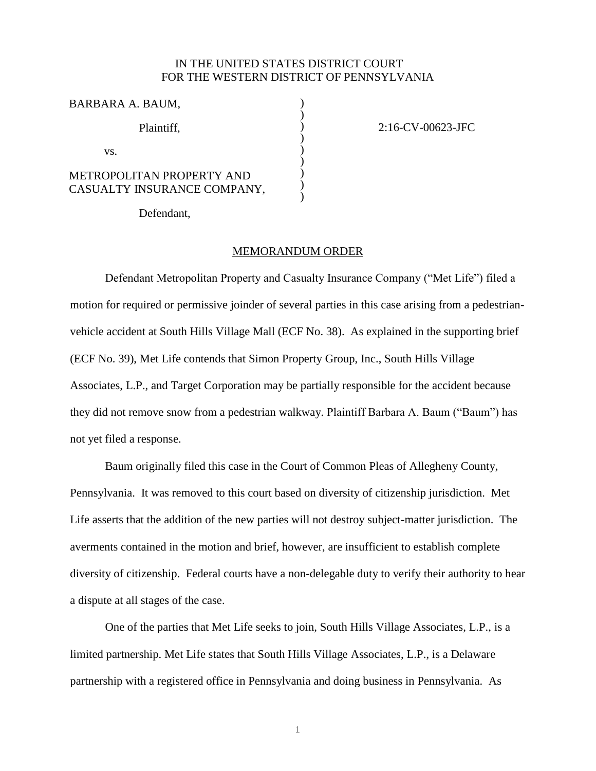## IN THE UNITED STATES DISTRICT COURT FOR THE WESTERN DISTRICT OF PENNSYLVANIA

) ) ) ) ) ) ) ) )

2:16-CV-00623-JFC

## BARBARA A. BAUM,

Plaintiff,

vs.

## METROPOLITAN PROPERTY AND CASUALTY INSURANCE COMPANY,

Defendant,

## MEMORANDUM ORDER

Defendant Metropolitan Property and Casualty Insurance Company ("Met Life") filed a motion for required or permissive joinder of several parties in this case arising from a pedestrianvehicle accident at South Hills Village Mall (ECF No. 38). As explained in the supporting brief (ECF No. 39), Met Life contends that Simon Property Group, Inc., South Hills Village Associates, L.P., and Target Corporation may be partially responsible for the accident because they did not remove snow from a pedestrian walkway. Plaintiff Barbara A. Baum ("Baum") has not yet filed a response.

Baum originally filed this case in the Court of Common Pleas of Allegheny County, Pennsylvania. It was removed to this court based on diversity of citizenship jurisdiction. Met Life asserts that the addition of the new parties will not destroy subject-matter jurisdiction. The averments contained in the motion and brief, however, are insufficient to establish complete diversity of citizenship. Federal courts have a non-delegable duty to verify their authority to hear a dispute at all stages of the case.

One of the parties that Met Life seeks to join, South Hills Village Associates, L.P., is a limited partnership. Met Life states that South Hills Village Associates, L.P., is a Delaware partnership with a registered office in Pennsylvania and doing business in Pennsylvania. As

1